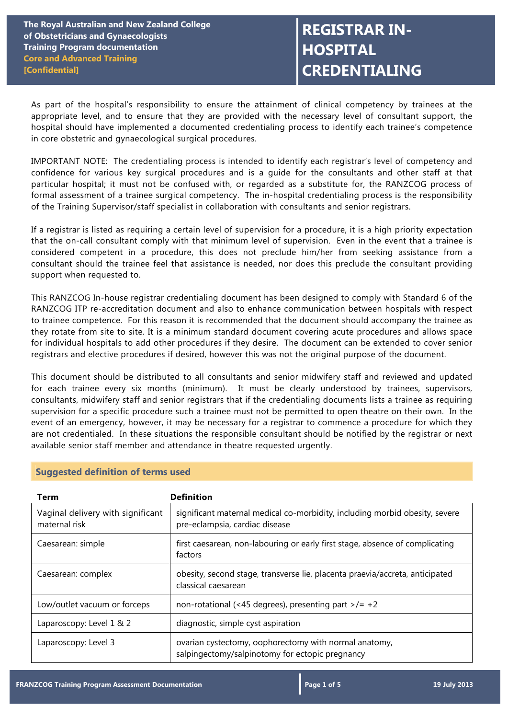# **REGISTRAR IN-HOSPITAL CREDENTIALING**

As part of the hospital's responsibility to ensure the attainment of clinical competency by trainees at the appropriate level, and to ensure that they are provided with the necessary level of consultant support, the hospital should have implemented a documented credentialing process to identify each trainee's competence in core obstetric and gynaecological surgical procedures.

IMPORTANT NOTE: The credentialing process is intended to identify each registrar's level of competency and confidence for various key surgical procedures and is a guide for the consultants and other staff at that particular hospital; it must not be confused with, or regarded as a substitute for, the RANZCOG process of formal assessment of a trainee surgical competency. The in-hospital credentialing process is the responsibility of the Training Supervisor/staff specialist in collaboration with consultants and senior registrars.

If a registrar is listed as requiring a certain level of supervision for a procedure, it is a high priority expectation that the on-call consultant comply with that minimum level of supervision. Even in the event that a trainee is considered competent in a procedure, this does not preclude him/her from seeking assistance from a consultant should the trainee feel that assistance is needed, nor does this preclude the consultant providing support when requested to.

This RANZCOG In-house registrar credentialing document has been designed to comply with Standard 6 of the RANZCOG ITP re-accreditation document and also to enhance communication between hospitals with respect to trainee competence. For this reason it is recommended that the document should accompany the trainee as they rotate from site to site. It is a minimum standard document covering acute procedures and allows space for individual hospitals to add other procedures if they desire. The document can be extended to cover senior registrars and elective procedures if desired, however this was not the original purpose of the document.

This document should be distributed to all consultants and senior midwifery staff and reviewed and updated for each trainee every six months (minimum). It must be clearly understood by trainees, supervisors, consultants, midwifery staff and senior registrars that if the credentialing documents lists a trainee as requiring supervision for a specific procedure such a trainee must not be permitted to open theatre on their own. In the event of an emergency, however, it may be necessary for a registrar to commence a procedure for which they are not credentialed. In these situations the responsible consultant should be notified by the registrar or next available senior staff member and attendance in theatre requested urgently.

| <b>Term</b>                                        | <b>Definition</b>                                                                                             |
|----------------------------------------------------|---------------------------------------------------------------------------------------------------------------|
| Vaginal delivery with significant<br>maternal risk | significant maternal medical co-morbidity, including morbid obesity, severe<br>pre-eclampsia, cardiac disease |
| Caesarean: simple                                  | first caesarean, non-labouring or early first stage, absence of complicating<br>factors                       |
| Caesarean: complex                                 | obesity, second stage, transverse lie, placenta praevia/accreta, anticipated<br>classical caesarean           |
| Low/outlet vacuum or forceps                       | non-rotational (<45 degrees), presenting part >/= $+2$                                                        |
| Laparoscopy: Level 1 & 2                           | diagnostic, simple cyst aspiration                                                                            |
| Laparoscopy: Level 3                               | ovarian cystectomy, oophorectomy with normal anatomy,<br>salpingectomy/salpinotomy for ectopic pregnancy      |

## **Suggested definition of terms used**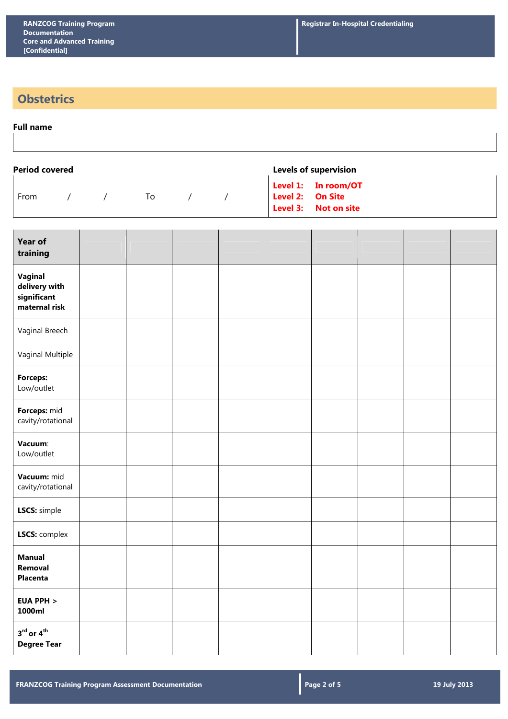## **Obstetrics**

### **Full name**

| Period covered |  |    |  | <b>Levels of supervision</b>                                    |
|----------------|--|----|--|-----------------------------------------------------------------|
| From           |  | Τo |  | Level 1: In room/OT<br>Level 2: On Site<br>Level 3: Not on site |

| <b>Year of</b><br>training                               |  |  |  |  |  |
|----------------------------------------------------------|--|--|--|--|--|
| Vaginal<br>delivery with<br>significant<br>maternal risk |  |  |  |  |  |
| Vaginal Breech                                           |  |  |  |  |  |
| Vaginal Multiple                                         |  |  |  |  |  |
| Forceps:<br>Low/outlet                                   |  |  |  |  |  |
| Forceps: mid<br>cavity/rotational                        |  |  |  |  |  |
| Vacuum:<br>Low/outlet                                    |  |  |  |  |  |
| Vacuum: mid<br>cavity/rotational                         |  |  |  |  |  |
| LSCS: simple                                             |  |  |  |  |  |
| LSCS: complex                                            |  |  |  |  |  |
| <b>Manual</b><br>Removal<br>Placenta                     |  |  |  |  |  |
| <b>EUA PPH &gt;</b><br>1000ml                            |  |  |  |  |  |
| $3^{\text{rd}}$ or $4^{\text{th}}$<br><b>Degree Tear</b> |  |  |  |  |  |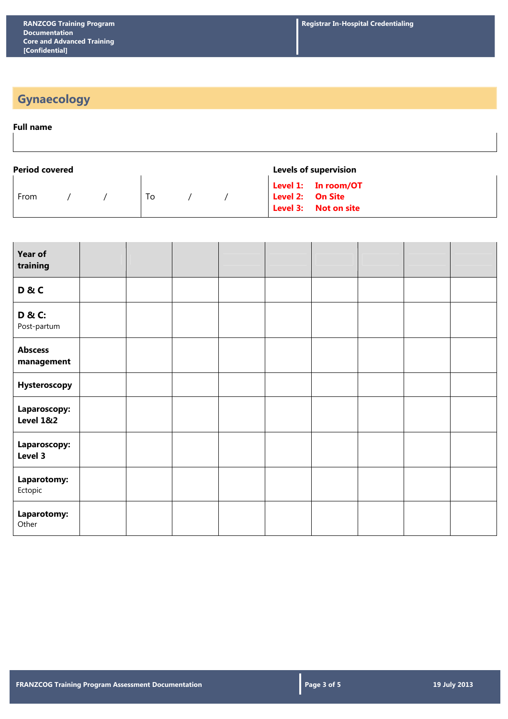## **Gynaecology**

### **Full name**

| <b>Period covered</b> |  |  |    |  |  | <b>Levels of supervision</b>                                    |  |  |
|-----------------------|--|--|----|--|--|-----------------------------------------------------------------|--|--|
| From                  |  |  | Τo |  |  | Level 1: In room/OT<br>Level 2: On Site<br>Level 3: Not on site |  |  |

| Year of<br>training                  |  |  |  |  |  |
|--------------------------------------|--|--|--|--|--|
| D&C                                  |  |  |  |  |  |
| <b>D &amp; C:</b><br>Post-partum     |  |  |  |  |  |
| <b>Abscess</b><br>management         |  |  |  |  |  |
| Hysteroscopy                         |  |  |  |  |  |
| Laparoscopy:<br><b>Level 1&amp;2</b> |  |  |  |  |  |
| Laparoscopy:<br>Level 3              |  |  |  |  |  |
| Laparotomy:<br>Ectopic               |  |  |  |  |  |
| Laparotomy:<br>Other                 |  |  |  |  |  |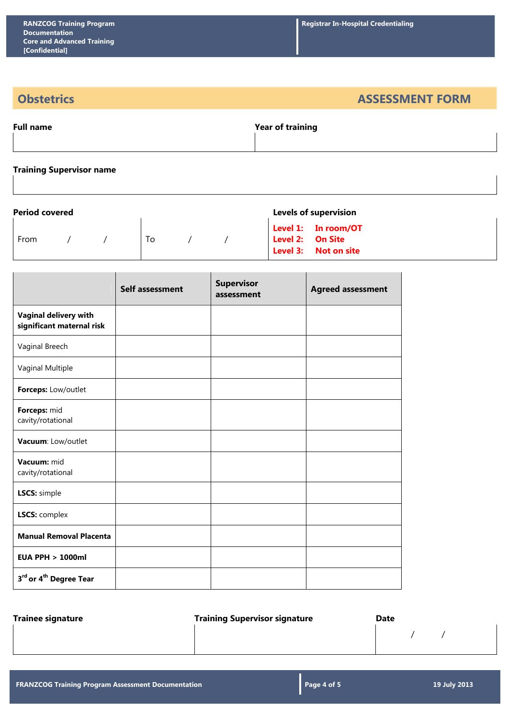**Obstetrics ASSESSMENT FORM** 

| <b>Full name</b> | <b>Year of training</b> |
|------------------|-------------------------|
|                  |                         |

### **Training Supervisor name**

| <b>Period covered</b><br><b>Levels of supervision</b> |  |  |    |  |  |  |                                                                 |
|-------------------------------------------------------|--|--|----|--|--|--|-----------------------------------------------------------------|
| From                                                  |  |  | To |  |  |  | Level 1: In room/OT<br>Level 2: On Site<br>Level 3: Not on site |

|                                                           | <b>Self assessment</b> | <b>Supervisor</b><br>assessment | <b>Agreed assessment</b> |
|-----------------------------------------------------------|------------------------|---------------------------------|--------------------------|
| <b>Vaginal delivery with</b><br>significant maternal risk |                        |                                 |                          |
| Vaginal Breech                                            |                        |                                 |                          |
| Vaginal Multiple                                          |                        |                                 |                          |
| Forceps: Low/outlet                                       |                        |                                 |                          |
| Forceps: mid<br>cavity/rotational                         |                        |                                 |                          |
| Vacuum: Low/outlet                                        |                        |                                 |                          |
| Vacuum: mid<br>cavity/rotational                          |                        |                                 |                          |
| LSCS: simple                                              |                        |                                 |                          |
| <b>LSCS: complex</b>                                      |                        |                                 |                          |
| <b>Manual Removal Placenta</b>                            |                        |                                 |                          |
| <b>EUA PPH &gt; 1000ml</b>                                |                        |                                 |                          |
| 3rd or 4 <sup>th</sup> Degree Tear                        |                        |                                 |                          |

**Trainee signature Community Community Community Community Community Community Community Community Community Community Community Community Community Community Community Community Community Community Community Community Com** 

/ /